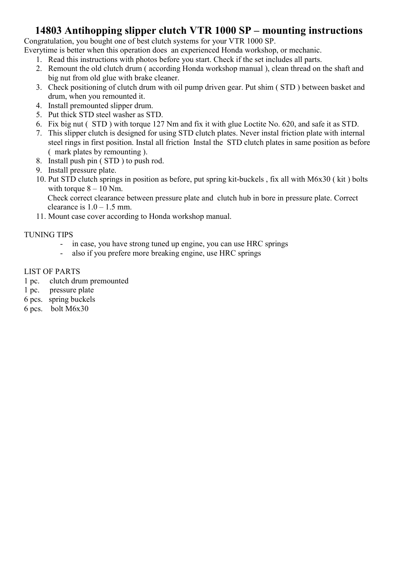### 14803 Antihopping slipper clutch VTR 1000 SP – mounting instructions

Congratulation, you bought one of best clutch systems for your VTR 1000 SP.

Everytime is better when this operation does an experienced Honda workshop, or mechanic.

- 1. Read this instructions with photos before you start. Check if the set includes all parts.
- 2. Remount the old clutch drum ( according Honda workshop manual ), clean thread on the shaft and big nut from old glue with brake cleaner.
- 3. Check positioning of clutch drum with oil pump driven gear. Put shim ( STD ) between basket and drum, when you remounted it.
- 4. Install premounted slipper drum.
- 5. Put thick STD steel washer as STD.
- 6. Fix big nut ( STD ) with torque 127 Nm and fix it with glue Loctite No. 620, and safe it as STD.
- 7. This slipper clutch is designed for using STD clutch plates. Never instal friction plate with internal steel rings in first position. Instal all friction Instal the STD clutch plates in same position as before ( mark plates by remounting ).
- 8. Install push pin ( STD ) to push rod.
- 9. Install pressure plate.
- 10. Put STD clutch springs in position as before, put spring kit-buckels , fix all with M6x30 ( kit ) bolts with torque  $8 - 10$  Nm.

Check correct clearance between pressure plate and clutch hub in bore in pressure plate. Correct clearance is  $1.0 - 1.5$  mm.

11. Mount case cover according to Honda workshop manual.

### TUNING TIPS

- in case, you have strong tuned up engine, you can use HRC springs
- also if you prefere more breaking engine, use HRC springs

#### LIST OF PARTS

- 1 pc. clutch drum premounted
- 1 pc. pressure plate
- 6 pcs. spring buckels
- 6 pcs. bolt M6x30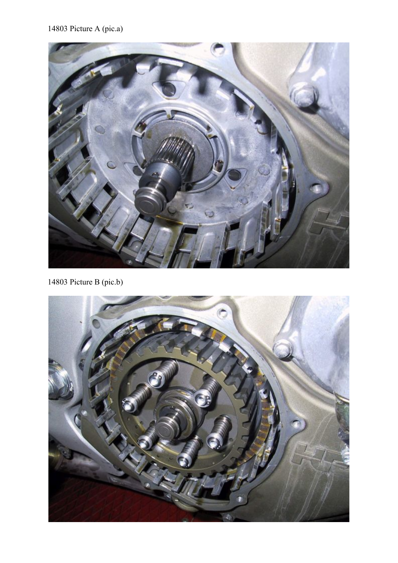

14803 Picture B (pic.b)

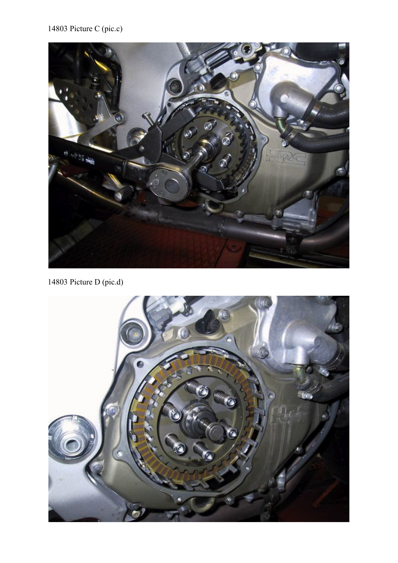# 14803 Picture C (pic.c)



14803 Picture D (pic.d)